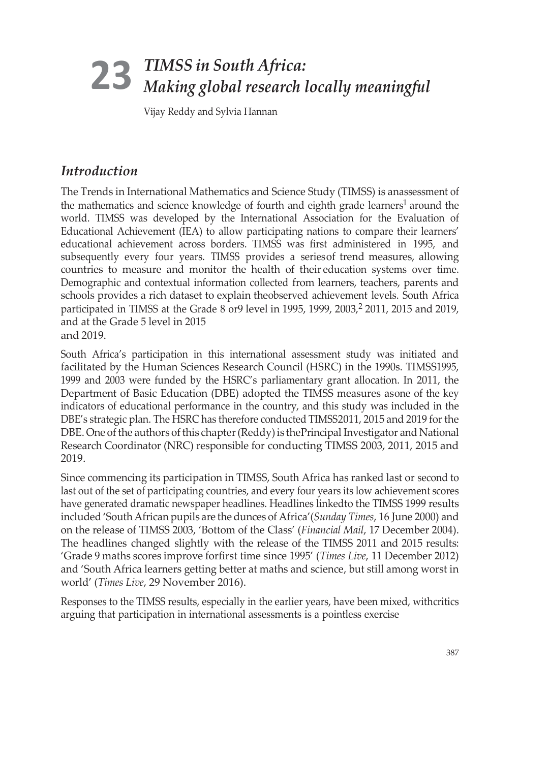# *TIMSS in South Africa: Making global research locally meaningful* **23**

Vijay Reddy and Sylvia Hannan

## *Introduction*

The Trends in International Mathematics and Science Study (TIMSS) is anassessment of the mathematics and science knowledge of fourth and eighth grade learners<sup>1</sup> around the world. TIMSS was developed by the International Association for the Evaluation of Educational Achievement (IEA) to allow participating nations to compare their learners' educational achievement across borders. TIMSS was first administered in 1995, and subsequently every four years. TIMSS provides a seriesof trend measures, allowing countries to measure and monitor the health of their education systems over time. Demographic and contextual information collected from learners, teachers, parents and schools provides a rich dataset to explain theobserved achievement levels. South Africa participated in TIMSS at the Grade 8 or9 level in 1995, 1999, 2003,<sup>2</sup> 2011, 2015 and 2019, and at the Grade 5 level in 2015 and 2019.

South Africa's participation in this international assessment study was initiated and facilitated by the Human Sciences Research Council (HSRC) in the 1990s. TIMSS1995, 1999 and 2003 were funded by the HSRC's parliamentary grant allocation. In 2011, the Department of Basic Education (DBE) adopted the TIMSS measures asone of the key indicators of educational performance in the country, and this study was included in the DBE's strategic plan. The HSRC has therefore conducted TIMSS2011, 2015 and 2019 forthe DBE. One of the authors of this chapter (Reddy) is the Principal Investigator and National Research Coordinator (NRC) responsible for conducting TIMSS 2003, 2011, 2015 and 2019.

Since commencing its participation in TIMSS, South Africa has ranked last or second to last out of the set of participating countries, and every four years its low achievement scores have generated dramatic newspaper headlines. Headlines linkedto the TIMSS 1999 results included 'SouthAfrican pupils are the dunces of Africa'(*Sunday Times*, 16 June 2000) and on the release of TIMSS 2003, 'Bottom of the Class' (*Financial Mail*, 17 December 2004). The headlines changed slightly with the release of the TIMSS 2011 and 2015 results: 'Grade 9 maths scores improve forfirst time since 1995' (*Times Live*, 11 December 2012) and 'South Africa learners getting better at maths and science, but still among worst in world' (*Times Live*, 29 November 2016).

Responses to the TIMSS results, especially in the earlier years, have been mixed, withcritics arguing that participation in international assessments is a pointless exercise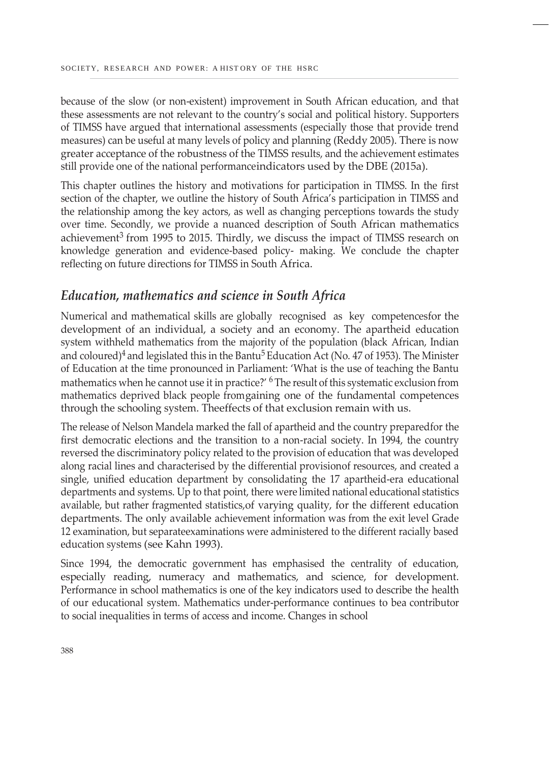because of the slow (or non-existent) improvement in South African education, and that these assessments are not relevant to the country's social and political history. Supporters of TIMSS have argued that international assessments (especially those that provide trend measures) can be useful at many levels of policy and planning (Reddy 2005). There is now greater acceptance of the robustness of the TIMSS results, and the achievement estimates still provide one of the national performanceindicators used by the DBE (2015a).

This chapter outlines the history and motivations for participation in TIMSS. In the first section of the chapter, we outline the history of South Africa's participation in TIMSS and the relationship among the key actors, as well as changing perceptions towards the study over time. Secondly, we provide a nuanced description of South African mathematics achievement<sup>3</sup> from 1995 to 2015. Thirdly, we discuss the impact of TIMSS research on knowledge generation and evidence-based policy- making. We conclude the chapter reflecting on future directions for TIMSS in South Africa.

### *Education, mathematics and science in South Africa*

Numerical and mathematical skills are globally recognised as key competencesfor the development of an individual, a society and an economy. The apartheid education system withheld mathematics from the majority of the population (black African, Indian and coloured)<sup>4</sup> and legislated this in the Bantu<sup>5</sup> Education Act (No. 47 of 1953). The Minister of Education at the time pronounced in Parliament: 'What is the use of teaching the Bantu mathematics when he cannot use it in practice?' <sup>6</sup> The result of this systematic exclusion from mathematics deprived black people fromgaining one of the fundamental competences through the schooling system. Theeffects of that exclusion remain with us.

The release of Nelson Mandela marked the fall of apartheid and the country preparedfor the first democratic elections and the transition to a non-racial society. In 1994, the country reversed the discriminatory policy related to the provision of education that was developed along racial lines and characterised by the differential provisionof resources, and created a single, unified education department by consolidating the 17 apartheid-era educational departments and systems. Up to that point, there were limited national educational statistics available, but rather fragmented statistics,of varying quality, for the different education departments. The only available achievement information was from the exit level Grade 12 examination, but separateexaminations were administered to the different racially based education systems (see Kahn 1993).

Since 1994, the democratic government has emphasised the centrality of education, especially reading, numeracy and mathematics, and science, for development. Performance in school mathematics is one of the key indicators used to describe the health of our educational system. Mathematics under-performance continues to bea contributor to social inequalities in terms of access and income. Changes in school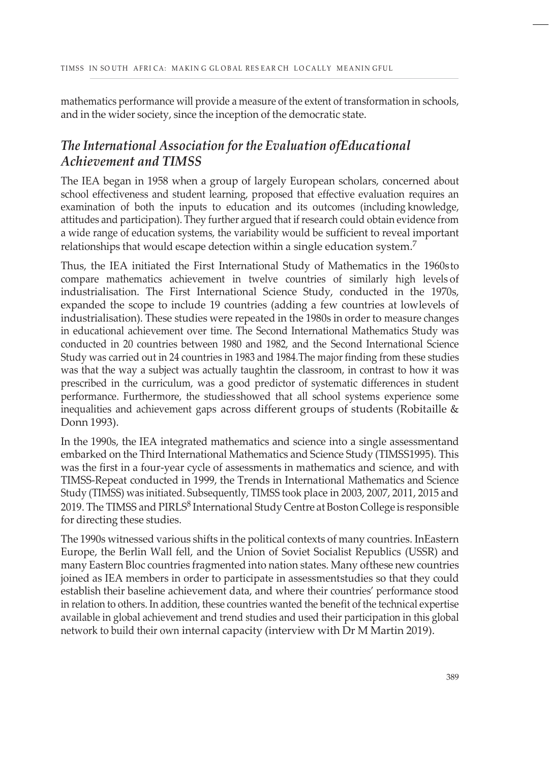mathematics performance will provide a measure of the extent of transformation in schools, and in the wider society, since the inception of the democratic state.

## *The International Association for the Evaluation ofEducational Achievement and TIMSS*

The IEA began in 1958 when a group of largely European scholars, concerned about school effectiveness and student learning, proposed that effective evaluation requires an examination of both the inputs to education and its outcomes (including knowledge, attitudes and participation). They further argued that if research could obtain evidence from a wide range of education systems, the variability would be sufficient to reveal important relationships that would escape detection within a single education system.<sup>7</sup>

Thus, the IEA initiated the First International Study of Mathematics in the 1960sto compare mathematics achievement in twelve countries of similarly high levels of industrialisation. The First International Science Study, conducted in the 1970s, expanded the scope to include 19 countries (adding a few countries at lowlevels of industrialisation). These studies were repeated in the 1980s in order to measure changes in educational achievement over time. The Second International Mathematics Study was conducted in 20 countries between 1980 and 1982, and the Second International Science Study was carried out in 24 countries in 1983 and 1984.The major finding from these studies was that the way a subject was actually taughtin the classroom, in contrast to how it was prescribed in the curriculum, was a good predictor of systematic differences in student performance. Furthermore, the studiesshowed that all school systems experience some inequalities and achievement gaps across different groups of students (Robitaille & Donn 1993).

In the 1990s, the IEA integrated mathematics and science into a single assessmentand embarked on the Third International Mathematics and Science Study (TIMSS1995). This was the first in a four-year cycle of assessments in mathematics and science, and with TIMSS-Repeat conducted in 1999, the Trends in International Mathematics and Science Study (TIMSS) was initiated. Subsequently, TIMSS took place in 2003, 2007, 2011, 2015 and 2019. The TIMSS and PIRLS<sup>8</sup> International Study Centre at Boston College is responsible for directing these studies.

The 1990s witnessed various shifts in the political contexts of many countries. InEastern Europe, the Berlin Wall fell, and the Union of Soviet Socialist Republics (USSR) and many Eastern Bloc countries fragmented into nation states. Many ofthese new countries joined as IEA members in order to participate in assessmentstudies so that they could establish their baseline achievement data, and where their countries' performance stood in relation to others. In addition, these countries wanted the benefit of the technical expertise available in global achievement and trend studies and used their participation in this global network to build their own internal capacity (interview with Dr M Martin 2019).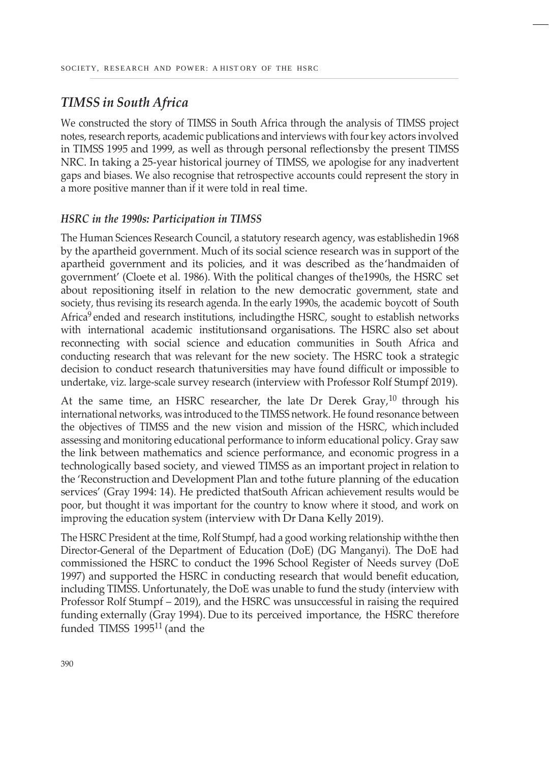## *TIMSS in South Africa*

We constructed the story of TIMSS in South Africa through the analysis of TIMSS project notes, research reports, academic publications and interviews with four key actors involved in TIMSS 1995 and 1999, as well as through personal reflectionsby the present TIMSS NRC. In taking a 25-year historical journey of TIMSS, we apologise for any inadvertent gaps and biases. We also recognise that retrospective accounts could represent the story in a more positive manner than if it were told in real time.

### *HSRC in the 1990s: Participation in TIMSS*

The Human Sciences Research Council, a statutory research agency, was establishedin 1968 by the apartheid government. Much of its social science research was in support of the apartheid government and its policies, and it was described as the'handmaiden of government' (Cloete et al. 1986). With the political changes of the1990s, the HSRC set about repositioning itself in relation to the new democratic government, state and society, thus revising its research agenda. In the early 1990s, the academic boycott of South Africa<sup>9</sup> ended and research institutions, includingthe HSRC, sought to establish networks with international academic institutionsand organisations. The HSRC also set about reconnecting with social science and education communities in South Africa and conducting research that was relevant for the new society. The HSRC took a strategic decision to conduct research thatuniversities may have found difficult or impossible to undertake, viz. large-scale survey research (interview with Professor Rolf Stumpf 2019).

At the same time, an HSRC researcher, the late Dr Derek Gray, $^{10}$  through his international networks, was introduced to the TIMSS network. He found resonance between the objectives of TIMSS and the new vision and mission of the HSRC, whichincluded assessing and monitoring educational performance to inform educational policy. Gray saw the link between mathematics and science performance, and economic progress in a technologically based society, and viewed TIMSS as an important project in relation to the 'Reconstruction and Development Plan and tothe future planning of the education services' (Gray 1994: 14). He predicted thatSouth African achievement results would be poor, but thought it was important for the country to know where it stood, and work on improving the education system (interview with Dr Dana Kelly 2019).

The HSRC President at the time, Rolf Stumpf, had a good working relationship withthe then Director-General of the Department of Education (DoE) (DG Manganyi). The DoE had commissioned the HSRC to conduct the 1996 School Register of Needs survey (DoE 1997) and supported the HSRC in conducting research that would benefit education, including TIMSS. Unfortunately, the DoE was unable to fund the study (interview with Professor Rolf Stumpf – 2019), and the HSRC was unsuccessful in raising the required funding externally (Gray 1994). Due to its perceived importance, the HSRC therefore funded TIMSS 1995<sup>11</sup> (and the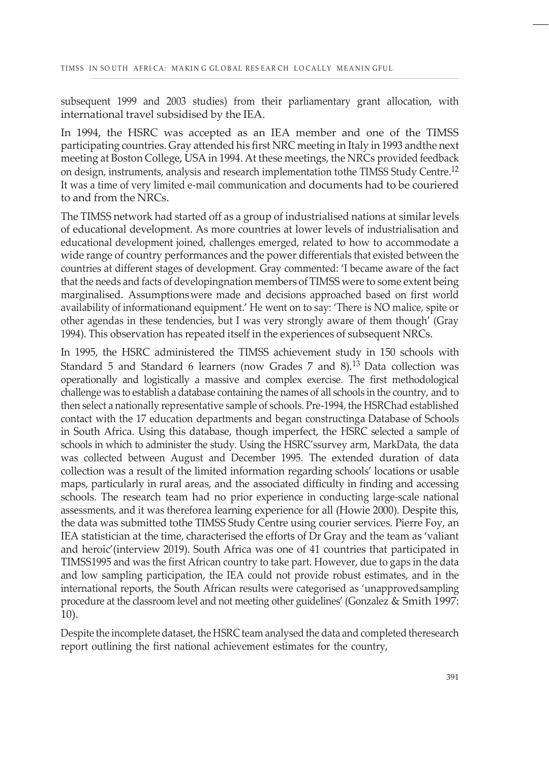subsequent 1999 and 2003 studies) from their parliamentary grant allocation, with international travel subsidised by the IEA.

In 1994, the HSRC was accepted as an IEA member and one of the TIMSS participating countries. Gray attended his first NRC meeting in Italy in 1993 andthe next meeting at Boston College, USA in 1994. At these meetings, the NRCs provided feedback on design, instruments, analysis and research implementation tothe TIMSS Study Centre.<sup>12</sup> It was a time of very limited e-mail communication and documents had to be couriered to and from the NRCs.

The TIMSS network had started off as a group of industrialised nations at similar levels of educational development. As more countries at lower levels of industrialisation and educational development joined, challenges emerged, related to how to accommodate a wide range of country performances and the power differentials that existed between the countries at different stages of development. Gray commented: 'I became aware of the fact that the needs and facts of developingnation members of TIMSS were to some extent being marginalised. Assumptionswere made and decisions approached based on first world availability of informationand equipment.' He went on to say: 'There is NO malice, spite or other agendas in these tendencies, but I was very strongly aware of them though' (Gray 1994). This observation has repeated itself in the experiences of subsequent NRCs.

In 1995, the HSRC administered the TIMSS achievement study in 150 schools with Standard 5 and Standard 6 learners (now Grades 7 and 8).<sup>13</sup> Data collection was operationally and logistically a massive and complex exercise. The first methodological challenge was to establish a database containing the names of all schools in the country, and to then select a nationally representative sample of schools. Pre-1994, the HSRChad established contact with the 17 education departments and began constructinga Database of Schools in South Africa. Using this database, though imperfect, the HSRC selected a sample of schools in which to administer the study. Using the HSRC'ssurvey arm, MarkData, the data was collected between August and December 1995. The extended duration of data collection was a result of the limited information regarding schools' locations or usable maps, particularly in rural areas, and the associated difficulty in finding and accessing schools. The research team had no prior experience in conducting large-scale national assessments, and it was thereforea learning experience for all (Howie 2000). Despite this, the data was submitted tothe TIMSS Study Centre using courier services. Pierre Foy, an IEA statistician at the time, characterised the efforts of Dr Gray and the team as 'valiant and heroic'(interview 2019). South Africa was one of 41 countries that participated in TIMSS1995 and was the first African country to take part. However, due to gaps in the data and low sampling participation, the IEA could not provide robust estimates, and in the international reports, the South African results were categorised as 'unapprovedsampling procedure at the classroom level and not meeting other guidelines' (Gonzalez & Smith 1997: 10).

Despite the incomplete dataset, the HSRC team analysed the data and completed theresearch report outlining the first national achievement estimates for the country,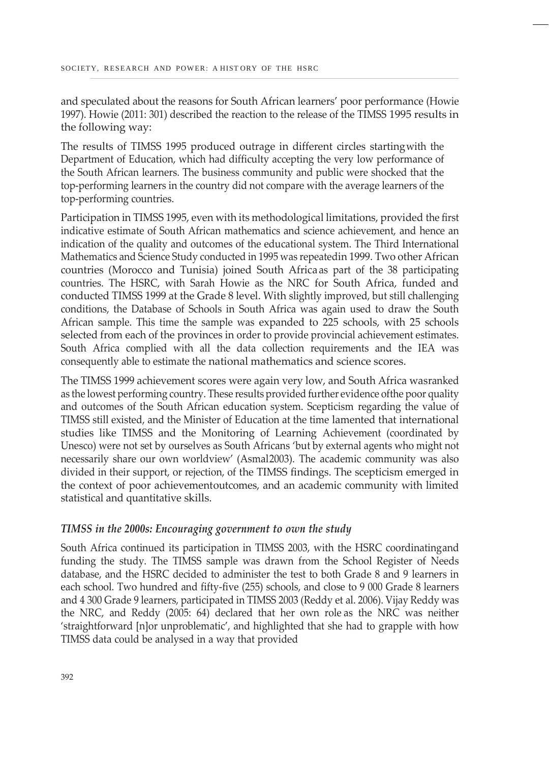and speculated about the reasons for South African learners' poor performance (Howie 1997). Howie (2011: 301) described the reaction to the release of the TIMSS 1995 results in the following way:

The results of TIMSS 1995 produced outrage in different circles startingwith the Department of Education, which had difficulty accepting the very low performance of the South African learners. The business community and public were shocked that the top-performing learners in the country did not compare with the average learners of the top-performing countries.

Participation in TIMSS 1995, even with its methodological limitations, provided the first indicative estimate of South African mathematics and science achievement, and hence an indication of the quality and outcomes of the educational system. The Third International Mathematics and Science Study conducted in 1995 was repeatedin 1999. Two other African countries (Morocco and Tunisia) joined South Africaas part of the 38 participating countries. The HSRC, with Sarah Howie as the NRC for South Africa, funded and conducted TIMSS 1999 at the Grade 8 level. With slightly improved, but still challenging conditions, the Database of Schools in South Africa was again used to draw the South African sample. This time the sample was expanded to 225 schools, with 25 schools selected from each of the provinces in order to provide provincial achievement estimates. South Africa complied with all the data collection requirements and the IEA was consequently able to estimate the national mathematics and science scores.

The TIMSS 1999 achievement scores were again very low, and South Africa wasranked as the lowest performing country. These results provided further evidence ofthe poor quality and outcomes of the South African education system. Scepticism regarding the value of TIMSS still existed, and the Minister of Education at the time lamented that international studies like TIMSS and the Monitoring of Learning Achievement (coordinated by Unesco) were not set by ourselves as South Africans 'but by external agents who might not necessarily share our own worldview' (Asmal2003). The academic community was also divided in their support, or rejection, of the TIMSS findings. The scepticism emerged in the context of poor achievementoutcomes, and an academic community with limited statistical and quantitative skills.

### *TIMSS in the 2000s: Encouraging government to own the study*

South Africa continued its participation in TIMSS 2003, with the HSRC coordinatingand funding the study. The TIMSS sample was drawn from the School Register of Needs database, and the HSRC decided to administer the test to both Grade 8 and 9 learners in each school. Two hundred and fifty-five (255) schools, and close to 9 000 Grade 8 learners and 4 300 Grade 9 learners, participated in TIMSS 2003 (Reddy et al. 2006). Vijay Reddy was the NRC, and Reddy (2005: 64) declared that her own role as the NRC was neither 'straightforward [n]or unproblematic', and highlighted that she had to grapple with how TIMSS data could be analysed in a way that provided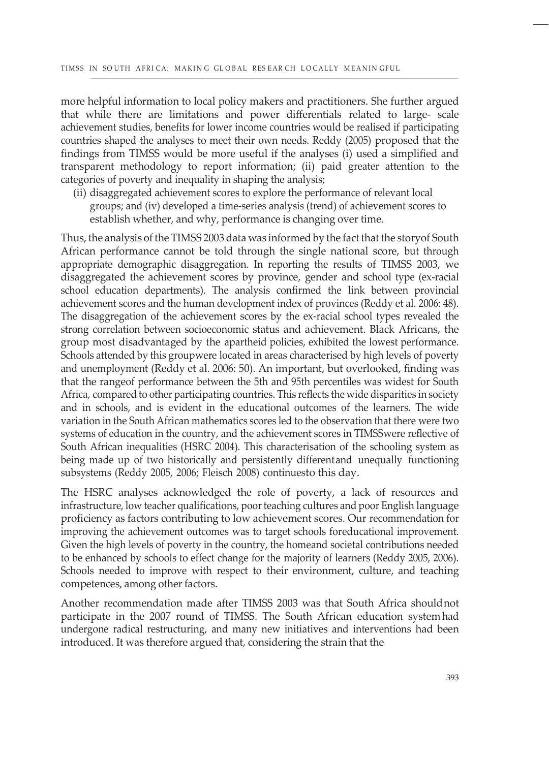more helpful information to local policy makers and practitioners. She further argued that while there are limitations and power differentials related to large- scale achievement studies, benefits for lower income countries would be realised if participating countries shaped the analyses to meet their own needs. Reddy (2005) proposed that the findings from TIMSS would be more useful if the analyses (i) used a simplified and transparent methodology to report information; (ii) paid greater attention to the categories of poverty and inequality in shaping the analysis;

(ii) disaggregated achievement scores to explore the performance of relevant local groups; and (iv) developed a time-series analysis (trend) of achievement scores to establish whether, and why, performance is changing over time.

Thus, the analysis ofthe TIMSS 2003 data was informed by the fact that the storyof South African performance cannot be told through the single national score, but through appropriate demographic disaggregation. In reporting the results of TIMSS 2003, we disaggregated the achievement scores by province, gender and school type (ex-racial school education departments). The analysis confirmed the link between provincial achievement scores and the human development index of provinces (Reddy et al. 2006: 48). The disaggregation of the achievement scores by the ex-racial school types revealed the strong correlation between socioeconomic status and achievement. Black Africans, the group most disadvantaged by the apartheid policies, exhibited the lowest performance. Schools attended by this groupwere located in areas characterised by high levels of poverty and unemployment (Reddy et al. 2006: 50). An important, but overlooked, finding was that the rangeof performance between the 5th and 95th percentiles was widest for South Africa, compared to other participating countries. This reflects the wide disparities in society and in schools, and is evident in the educational outcomes of the learners. The wide variation in the South African mathematics scores led to the observation that there were two systems of education in the country, and the achievement scores in TIMSSwere reflective of South African inequalities (HSRC 2004). This characterisation of the schooling system as being made up of two historically and persistently differentand unequally functioning subsystems (Reddy 2005, 2006; Fleisch 2008) continuesto this day.

The HSRC analyses acknowledged the role of poverty, a lack of resources and infrastructure, low teacher qualifications, poor teaching cultures and poor English language proficiency as factors contributing to low achievement scores. Our recommendation for improving the achievement outcomes was to target schools foreducational improvement. Given the high levels of poverty in the country, the homeand societal contributions needed to be enhanced by schools to effect change for the majority of learners (Reddy 2005, 2006). Schools needed to improve with respect to their environment, culture, and teaching competences, among other factors.

Another recommendation made after TIMSS 2003 was that South Africa shouldnot participate in the 2007 round of TIMSS. The South African education system had undergone radical restructuring, and many new initiatives and interventions had been introduced. It was therefore argued that, considering the strain that the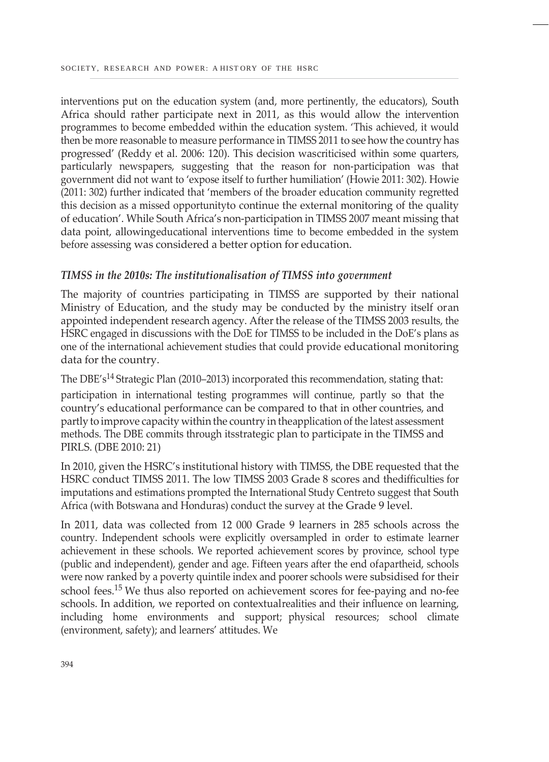interventions put on the education system (and, more pertinently, the educators), South Africa should rather participate next in 2011, as this would allow the intervention programmes to become embedded within the education system. 'This achieved, it would then be more reasonable to measure performance in TIMSS 2011 to see how the country has progressed' (Reddy et al. 2006: 120). This decision wascriticised within some quarters, particularly newspapers, suggesting that the reason for non-participation was that government did not want to 'expose itself to further humiliation' (Howie 2011: 302). Howie (2011: 302) further indicated that 'members of the broader education community regretted this decision as a missed opportunityto continue the external monitoring of the quality of education'. While South Africa's non-participation in TIMSS 2007 meant missing that data point, allowingeducational interventions time to become embedded in the system before assessing was considered a better option for education.

### *TIMSS in the 2010s: The institutionalisation of TIMSS into government*

The majority of countries participating in TIMSS are supported by their national Ministry of Education, and the study may be conducted by the ministry itself oran appointed independent research agency. After the release of the TIMSS 2003 results, the HSRC engaged in discussions with the DoE for TIMSS to be included in the DoE's plans as one of the international achievement studies that could provide educational monitoring data for the country.

The DBE's<sup>14</sup> Strategic Plan (2010–2013) incorporated this recommendation, stating that:

participation in international testing programmes will continue, partly so that the country's educational performance can be compared to that in other countries, and partly to improve capacity within the country in theapplication of the latest assessment methods. The DBE commits through itsstrategic plan to participate in the TIMSS and PIRLS. (DBE 2010: 21)

In 2010, given the HSRC's institutional history with TIMSS, the DBE requested that the HSRC conduct TIMSS 2011. The low TIMSS 2003 Grade 8 scores and thedifficulties for imputations and estimations prompted the International Study Centreto suggest that South Africa (with Botswana and Honduras) conduct the survey at the Grade 9 level.

In 2011, data was collected from 12 000 Grade 9 learners in 285 schools across the country. Independent schools were explicitly oversampled in order to estimate learner achievement in these schools. We reported achievement scores by province, school type (public and independent), gender and age. Fifteen years after the end ofapartheid, schools were now ranked by a poverty quintile index and poorer schools were subsidised for their school fees.15 We thus also reported on achievement scores for fee-paying and no-fee schools. In addition, we reported on contextualrealities and their influence on learning, including home environments and support; physical resources; school climate (environment, safety); and learners' attitudes. We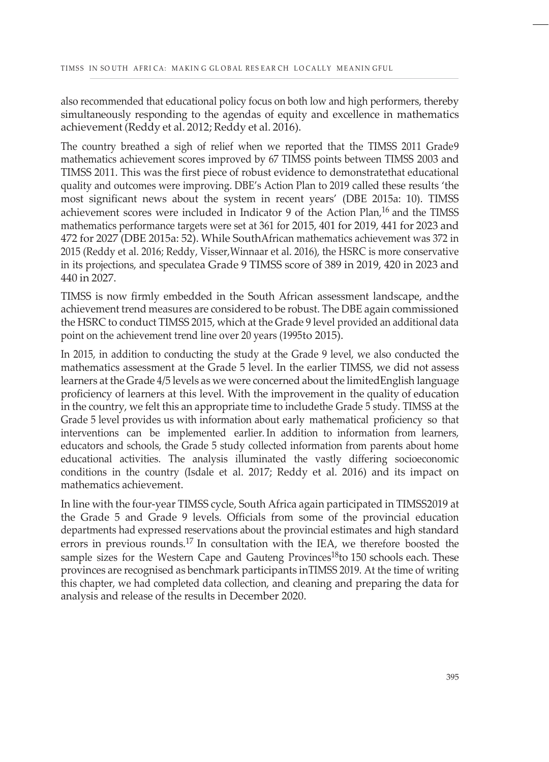also recommended that educational policy focus on both low and high performers, thereby simultaneously responding to the agendas of equity and excellence in mathematics achievement (Reddy et al. 2012; Reddy et al. 2016).

The country breathed a sigh of relief when we reported that the TIMSS 2011 Grade9 mathematics achievement scores improved by 67 TIMSS points between TIMSS 2003 and TIMSS 2011. This was the first piece of robust evidence to demonstratethat educational quality and outcomes were improving. DBE's Action Plan to 2019 called these results 'the most significant news about the system in recent years' (DBE 2015a: 10). TIMSS achievement scores were included in Indicator 9 of the Action Plan,<sup>16</sup> and the TIMSS mathematics performance targets were set at 361 for 2015, 401 for 2019, 441 for 2023 and 472 for 2027 (DBE 2015a: 52). While SouthAfrican mathematics achievement was 372 in 2015 (Reddy et al. 2016; Reddy, Visser,Winnaar et al. 2016), the HSRC is more conservative in its projections, and speculatea Grade 9 TIMSS score of 389 in 2019, 420 in 2023 and 440 in 2027.

TIMSS is now firmly embedded in the South African assessment landscape, andthe achievement trend measures are considered to be robust. The DBE again commissioned the HSRC to conduct TIMSS 2015, which at the Grade 9 level provided an additional data point on the achievement trend line over 20 years (1995to 2015).

In 2015, in addition to conducting the study at the Grade 9 level, we also conducted the mathematics assessment at the Grade 5 level. In the earlier TIMSS, we did not assess learners at the Grade 4/5 levels as we were concerned about the limitedEnglish language proficiency of learners at this level. With the improvement in the quality of education in the country, we felt this an appropriate time to includethe Grade 5 study. TIMSS at the Grade 5 level provides us with information about early mathematical proficiency so that interventions can be implemented earlier. In addition to information from learners, educators and schools, the Grade 5 study collected information from parents about home educational activities. The analysis illuminated the vastly differing socioeconomic conditions in the country (Isdale et al. 2017; Reddy et al. 2016) and its impact on mathematics achievement.

In line with the four-year TIMSS cycle, South Africa again participated in TIMSS2019 at the Grade 5 and Grade 9 levels. Officials from some of the provincial education departments had expressed reservations about the provincial estimates and high standard errors in previous rounds.<sup>17</sup> In consultation with the IEA, we therefore boosted the sample sizes for the Western Cape and Gauteng Provinces<sup>18</sup>to 150 schools each. These provinces are recognised as benchmark participants inTIMSS 2019. At the time of writing this chapter, we had completed data collection, and cleaning and preparing the data for analysis and release of the results in December 2020.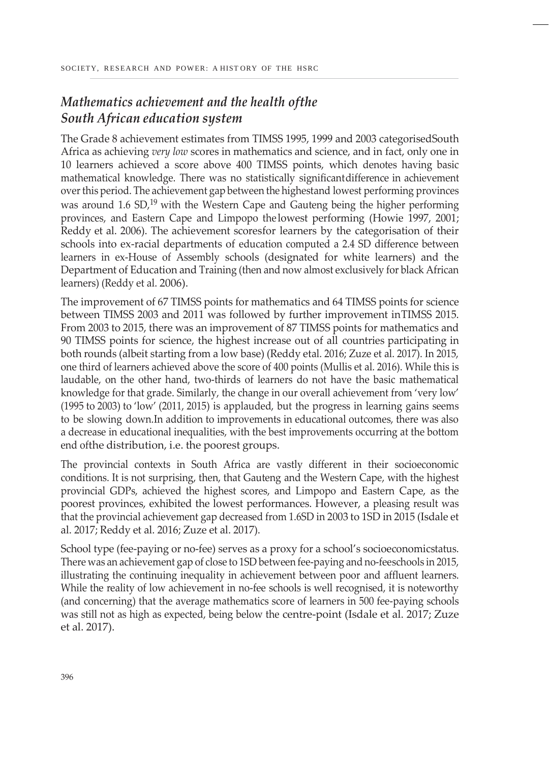# *Mathematics achievement and the health ofthe South African education system*

The Grade 8 achievement estimates from TIMSS 1995, 1999 and 2003 categorisedSouth Africa as achieving *very low* scores in mathematics and science, and in fact, only one in 10 learners achieved a score above 400 TIMSS points, which denotes having basic mathematical knowledge. There was no statistically significantdifference in achievement overthis period. The achievement gap between the highestand lowest performing provinces was around 1.6 SD,<sup>19</sup> with the Western Cape and Gauteng being the higher performing provinces, and Eastern Cape and Limpopo the lowest performing (Howie 1997, 2001; Reddy et al. 2006). The achievement scoresfor learners by the categorisation of their schools into ex-racial departments of education computed a 2.4 SD difference between learners in ex-House of Assembly schools (designated for white learners) and the Department of Education and Training (then and now almost exclusively for black African learners) (Reddy et al. 2006).

The improvement of 67 TIMSS points for mathematics and 64 TIMSS points for science between TIMSS 2003 and 2011 was followed by further improvement inTIMSS 2015. From 2003 to 2015, there was an improvement of 87 TIMSS points for mathematics and 90 TIMSS points for science, the highest increase out of all countries participating in both rounds (albeit starting from a low base) (Reddy etal. 2016; Zuze et al. 2017). In 2015, one third of learners achieved above the score of 400 points (Mullis et al. 2016). While this is laudable, on the other hand, two-thirds of learners do not have the basic mathematical knowledge for that grade. Similarly, the change in our overall achievement from 'very low' (1995 to 2003) to 'low' (2011, 2015) is applauded, but the progress in learning gains seems to be slowing down.In addition to improvements in educational outcomes, there was also a decrease in educational inequalities, with the best improvements occurring at the bottom end ofthe distribution, i.e. the poorest groups.

The provincial contexts in South Africa are vastly different in their socioeconomic conditions. It is not surprising, then, that Gauteng and the Western Cape, with the highest provincial GDPs, achieved the highest scores, and Limpopo and Eastern Cape, as the poorest provinces, exhibited the lowest performances. However, a pleasing result was that the provincial achievement gap decreased from 1.6SD in 2003 to 1SD in 2015 (Isdale et al. 2017; Reddy et al. 2016; Zuze et al. 2017).

School type (fee-paying or no-fee) serves as a proxy for a school's socioeconomicstatus. There was an achievement gap of close to 1SD between fee-paying and no-feeschools in 2015, illustrating the continuing inequality in achievement between poor and affluent learners. While the reality of low achievement in no-fee schools is well recognised, it is noteworthy (and concerning) that the average mathematics score of learners in 500 fee-paying schools was still not as high as expected, being below the centre-point (Isdale et al. 2017; Zuze et al. 2017).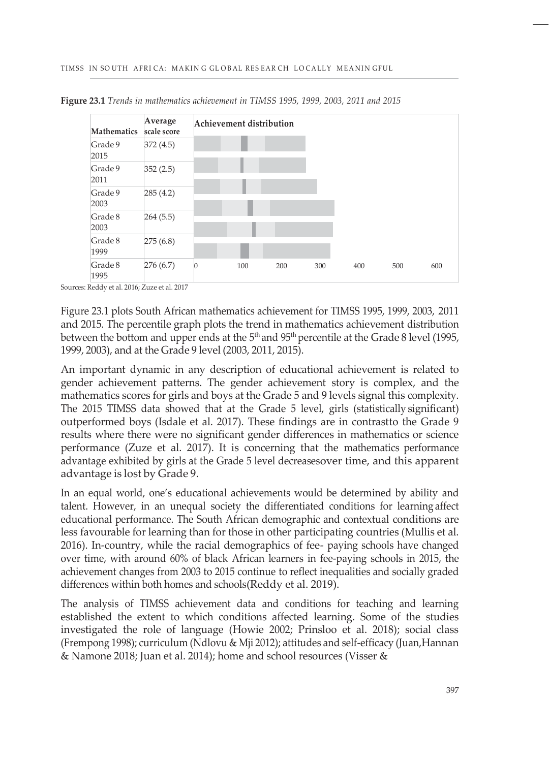

**Figure 23.1** *Trends in mathematics achievement in TIMSS 1995, 1999, 2003, 2011 and 2015*

Sources: Reddy et al. 2016; Zuze et al. 2017

Figure 23.1 plots South African mathematics achievement for TIMSS 1995, 1999, 2003, 2011 and 2015. The percentile graph plots the trend in mathematics achievement distribution between the bottom and upper ends at the  $5<sup>th</sup>$  and  $95<sup>th</sup>$  percentile at the Grade 8 level (1995, 1999, 2003), and at the Grade 9 level (2003, 2011, 2015).

An important dynamic in any description of educational achievement is related to gender achievement patterns. The gender achievement story is complex, and the mathematics scores for girls and boys at the Grade 5 and 9 levels signal this complexity. The 2015 TIMSS data showed that at the Grade 5 level, girls (statistically significant) outperformed boys (Isdale et al. 2017). These findings are in contrastto the Grade 9 results where there were no significant gender differences in mathematics or science performance (Zuze et al. 2017). It is concerning that the mathematics performance advantage exhibited by girls at the Grade 5 level decreasesover time, and this apparent advantage is lost by Grade 9.

In an equal world, one's educational achievements would be determined by ability and talent. However, in an unequal society the differentiated conditions for learning affect educational performance. The South African demographic and contextual conditions are less favourable for learning than for those in other participating countries (Mullis et al. 2016). In-country, while the racial demographics of fee- paying schools have changed over time, with around 60% of black African learners in fee-paying schools in 2015, the achievement changes from 2003 to 2015 continue to reflect inequalities and socially graded differences within both homes and schools(Reddy et al. 2019).

The analysis of TIMSS achievement data and conditions for teaching and learning established the extent to which conditions affected learning. Some of the studies investigated the role of language (Howie 2002; Prinsloo et al. 2018); social class (Frempong 1998); curriculum (Ndlovu & Mji 2012); attitudes and self-efficacy (Juan,Hannan & Namone 2018; Juan et al. 2014); home and school resources (Visser &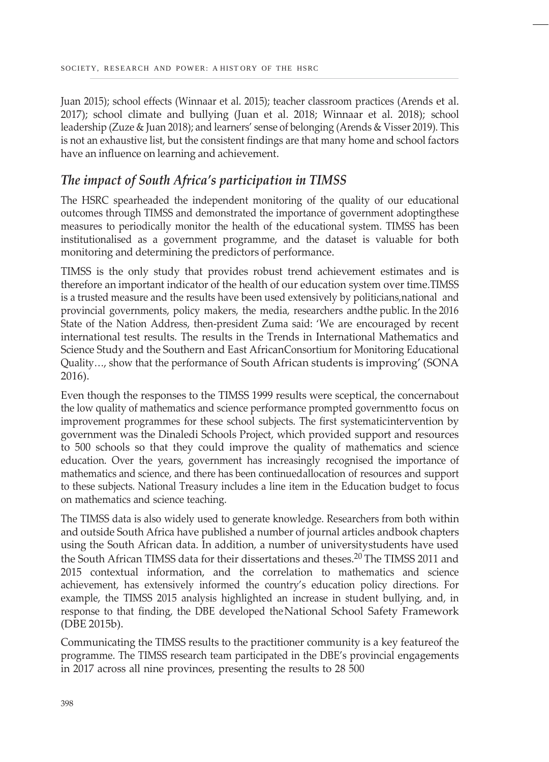Juan 2015); school effects (Winnaar et al. 2015); teacher classroom practices (Arends et al. 2017); school climate and bullying (Juan et al. 2018; Winnaar et al. 2018); school leadership (Zuze & Juan 2018); and learners' sense of belonging (Arends & Visser 2019). This is not an exhaustive list, but the consistent findings are that many home and school factors have an influence on learning and achievement.

## *The impact of South Africa's participation in TIMSS*

The HSRC spearheaded the independent monitoring of the quality of our educational outcomes through TIMSS and demonstrated the importance of government adoptingthese measures to periodically monitor the health of the educational system. TIMSS has been institutionalised as a government programme, and the dataset is valuable for both monitoring and determining the predictors of performance.

TIMSS is the only study that provides robust trend achievement estimates and is therefore an important indicator of the health of our education system over time.TIMSS is a trusted measure and the results have been used extensively by politicians,national and provincial governments, policy makers, the media, researchers andthe public. In the 2016 State of the Nation Address, then-president Zuma said: 'We are encouraged by recent international test results. The results in the Trends in International Mathematics and Science Study and the Southern and East AfricanConsortium for Monitoring Educational Quality…, show that the performance of South African students is improving' (SONA 2016).

Even though the responses to the TIMSS 1999 results were sceptical, the concernabout the low quality of mathematics and science performance prompted governmentto focus on improvement programmes for these school subjects. The first systematicintervention by government was the Dinaledi Schools Project, which provided support and resources to 500 schools so that they could improve the quality of mathematics and science education. Over the years, government has increasingly recognised the importance of mathematics and science, and there has been continuedallocation of resources and support to these subjects. National Treasury includes a line item in the Education budget to focus on mathematics and science teaching.

The TIMSS data is also widely used to generate knowledge. Researchers from both within and outside South Africa have published a number of journal articles andbook chapters using the South African data. In addition, a number of universitystudents have used the South African TIMSS data for their dissertations and theses.20 The TIMSS 2011 and 2015 contextual information, and the correlation to mathematics and science achievement, has extensively informed the country's education policy directions. For example, the TIMSS 2015 analysis highlighted an increase in student bullying, and, in response to that finding, the DBE developed theNational School Safety Framework (DBE 2015b).

Communicating the TIMSS results to the practitioner community is a key featureof the programme. The TIMSS research team participated in the DBE's provincial engagements in 2017 across all nine provinces, presenting the results to 28 500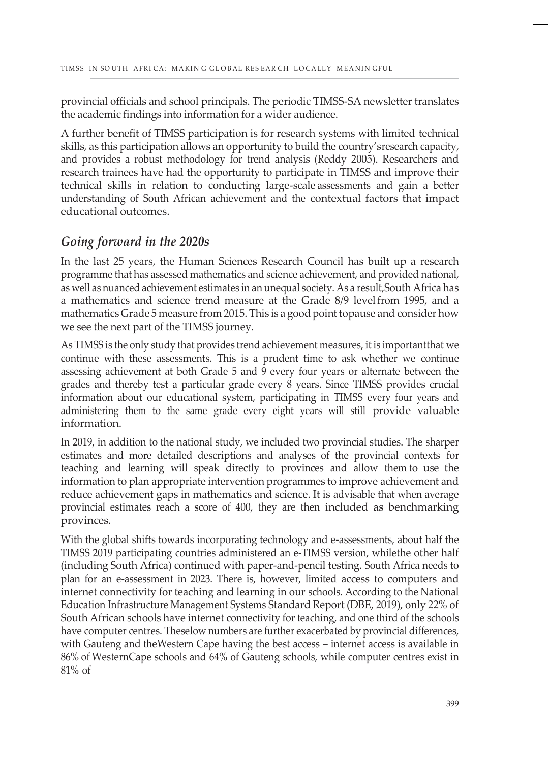provincial officials and school principals. The periodic TIMSS-SA newsletter translates the academic findings into information for a wider audience.

A further benefit of TIMSS participation is for research systems with limited technical skills, as this participation allows an opportunity to build the country'sresearch capacity, and provides a robust methodology for trend analysis (Reddy 2005). Researchers and research trainees have had the opportunity to participate in TIMSS and improve their technical skills in relation to conducting large-scale assessments and gain a better understanding of South African achievement and the contextual factors that impact educational outcomes.

### *Going forward in the 2020s*

In the last 25 years, the Human Sciences Research Council has built up a research programme that has assessed mathematics and science achievement, and provided national, as well as nuanced achievement estimates in an unequal society. As a result,South Africa has a mathematics and science trend measure at the Grade 8/9 levelfrom 1995, and a mathematicsGrade 5 measure from 2015. This is a good point topause and consider how we see the next part of the TIMSS journey.

As TIMSS is the only study that provides trend achievement measures, it is importantthat we continue with these assessments. This is a prudent time to ask whether we continue assessing achievement at both Grade 5 and 9 every four years or alternate between the grades and thereby test a particular grade every 8 years. Since TIMSS provides crucial information about our educational system, participating in TIMSS every four years and administering them to the same grade every eight years will still provide valuable information.

In 2019, in addition to the national study, we included two provincial studies. The sharper estimates and more detailed descriptions and analyses of the provincial contexts for teaching and learning will speak directly to provinces and allow them to use the information to plan appropriate intervention programmes to improve achievement and reduce achievement gaps in mathematics and science. It is advisable that when average provincial estimates reach a score of 400, they are then included as benchmarking provinces.

With the global shifts towards incorporating technology and e-assessments, about half the TIMSS 2019 participating countries administered an e-TIMSS version, whilethe other half (including South Africa) continued with paper-and-pencil testing. South Africa needs to plan for an e-assessment in 2023. There is, however, limited access to computers and internet connectivity for teaching and learning in our schools. According to the National Education Infrastructure Management Systems Standard Report (DBE, 2019), only 22% of South African schools have internet connectivity for teaching, and one third of the schools have computer centres. Theselow numbers are further exacerbated by provincial differences, with Gauteng and theWestern Cape having the best access – internet access is available in 86% of WesternCape schools and 64% of Gauteng schools, while computer centres exist in 81% of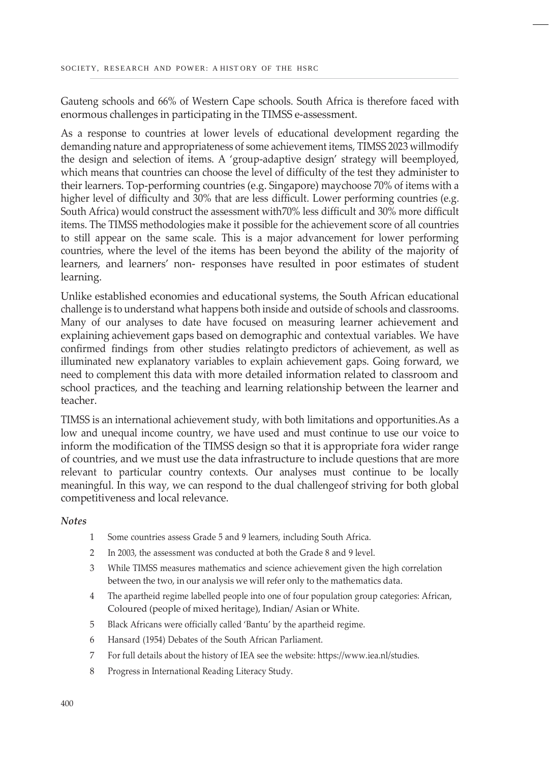Gauteng schools and 66% of Western Cape schools. South Africa is therefore faced with enormous challenges in participating in the TIMSS e-assessment.

As a response to countries at lower levels of educational development regarding the demanding nature and appropriateness of some achievement items, TIMSS 2023 willmodify the design and selection of items. A 'group-adaptive design' strategy will beemployed, which means that countries can choose the level of difficulty of the test they administer to their learners. Top-performing countries (e.g. Singapore) maychoose 70% of items with a higher level of difficulty and 30% that are less difficult. Lower performing countries (e.g. South Africa) would construct the assessment with70% less difficult and 30% more difficult items. The TIMSS methodologies make it possible for the achievement score of all countries to still appear on the same scale. This is a major advancement for lower performing countries, where the level of the items has been beyond the ability of the majority of learners, and learners' non- responses have resulted in poor estimates of student learning.

Unlike established economies and educational systems, the South African educational challenge is to understand what happens both inside and outside of schools and classrooms. Many of our analyses to date have focused on measuring learner achievement and explaining achievement gaps based on demographic and contextual variables. We have confirmed findings from other studies relatingto predictors of achievement, as well as illuminated new explanatory variables to explain achievement gaps. Going forward, we need to complement this data with more detailed information related to classroom and school practices, and the teaching and learning relationship between the learner and teacher.

TIMSS is an international achievement study, with both limitations and opportunities.As a low and unequal income country, we have used and must continue to use our voice to inform the modification of the TIMSS design so that it is appropriate fora wider range of countries, and we must use the data infrastructure to include questions that are more relevant to particular country contexts. Our analyses must continue to be locally meaningful. In this way, we can respond to the dual challengeof striving for both global competitiveness and local relevance.

#### *Notes*

- 1 Some countries assess Grade 5 and 9 learners, including South Africa.
- 2 In 2003, the assessment was conducted at both the Grade 8 and 9 level.
- 3 While TIMSS measures mathematics and science achievement given the high correlation between the two, in our analysis we will refer only to the mathematics data.
- 4 The apartheid regime labelled people into one of four population group categories: African, Coloured (people of mixed heritage), Indian/ Asian or White.
- 5 Black Africans were officially called 'Bantu' by the apartheid regime.
- 6 Hansard (1954) Debates of the South African Parliament.
- 7 For full details about the history of IEA see the website: ht[tps://ww](http://www.iea.nl/studies)w.i[ea.nl/studies.](http://www.iea.nl/studies)
- 8 Progress in International Reading Literacy Study.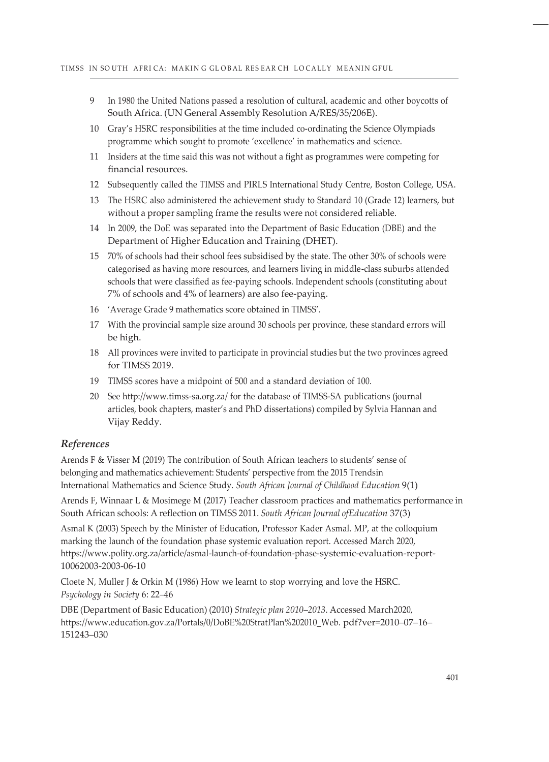- 9 In 1980 the United Nations passed a resolution of cultural, academic and other boycotts of South Africa. (UN General Assembly Resolution A/RES/35/206E).
- 10 Gray's HSRC responsibilities at the time included co-ordinating the Science Olympiads programme which sought to promote 'excellence' in mathematics and science.
- 11 Insiders at the time said this was not without a fight as programmes were competing for financial resources.
- 12 Subsequently called the TIMSS and PIRLS International Study Centre, Boston College, USA.
- 13 The HSRC also administered the achievement study to Standard 10 (Grade 12) learners, but without a proper sampling frame the results were not considered reliable.
- 14 In 2009, the DoE was separated into the Department of Basic Education (DBE) and the Department of Higher Education and Training (DHET).
- 15 70% of schools had their school fees subsidised by the state. The other 30% of schools were categorised as having more resources, and learners living in middle-class suburbs attended schools that were classified as fee-paying schools. Independent schools (constituting about 7% of schools and 4% of learners) are also fee-paying.
- 16 'Average Grade 9 mathematics score obtained in TIMSS'.
- 17 With the provincial sample size around 30 schools per province, these standard errors will be high.
- 18 All provinces were invited to participate in provincial studies but the two provinces agreed for TIMSS 2019.
- 19 TIMSS scores have a midpoint of 500 and a standard deviation of 100.
- 20 See <http://www.timss-sa.org.za/> for the database of TIMSS-SA publications (journal articles, book chapters, master's and PhD dissertations) compiled by Sylvia Hannan and Vijay Reddy.

#### *References*

Arends F & Visser M (2019) The contribution of South African teachers to students' sense of belonging and mathematics achievement: Students' perspective from the 2015 Trendsin International Mathematics and Science Study. *South African Journal of Childhood Education* 9(1)

Arends F, Winnaar L & Mosimege M (2017) Teacher classroom practices and mathematics performance in South African schools: A reflection on TIMSS 2011. *South African Journal ofEducation* 37(3)

Asmal K (2003) Speech by the Minister of Education, Professor Kader Asmal. MP, at the colloquium marking the launch of the foundation phase systemic evaluation report. Accessed March 2020, ht[tps://ww](http://www.polity.org.za/article/asmal-launch-of-foundation-phase-)w.p[olity.org.za/article/asmal-launch-of-foundation-phase-s](http://www.polity.org.za/article/asmal-launch-of-foundation-phase-)ystemic-evaluation-report-10062003-2003-06-10

Cloete N, Muller J & Orkin M (1986) How we learnt to stop worrying and love the HSRC. *Psychology in Society* 6: 22–46

DBE (Department of Basic Education) (2010) *Strategic plan 2010–2013*. Accessed March2020, ht[tps://ww](http://www.education.gov.za/Portals/0/DoBE%20StratPlan%202010_Web)w.e[ducation.gov.za/Portals/0/DoBE%20StratPlan%202010\\_Web.](http://www.education.gov.za/Portals/0/DoBE%20StratPlan%202010_Web) pdf?ver=2010–07–16– 151243–030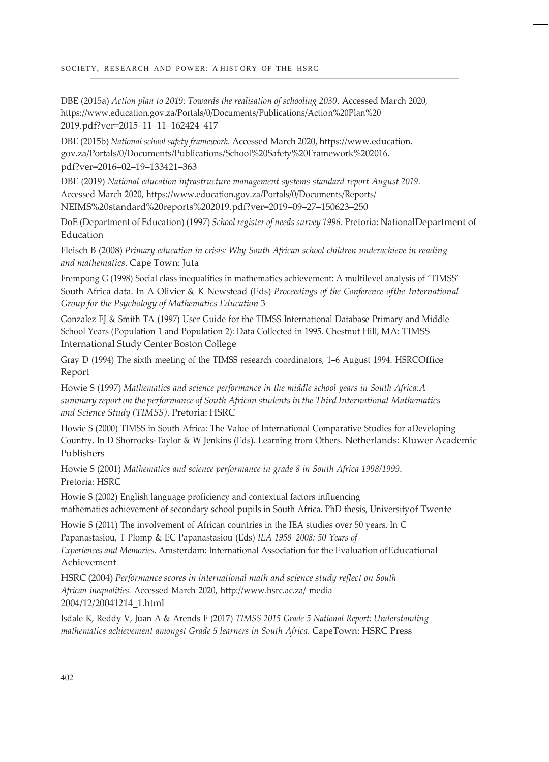DBE (2015a) *Action plan to 2019: Towards the realisation of schooling 2030*. Accessed March 2020, ht[tps://ww](http://www.education.gov.za/Portals/0/Documents/Publications/Action%20Plan)w.e[ducation.gov.za/Portals/0/Documents/Publications/Action%20Plan%20](http://www.education.gov.za/Portals/0/Documents/Publications/Action%20Plan) 2019.pdf?ver=2015–11–11–162424–417

DBE (2015b) *National school safety framework.* Accessed March 2020, https://www.education. gov.za/Portals/0/Documents/Publications/School%20Safety%20Framework%202016. pdf?ver=2016–02–19–133421–363

DBE (2019) *National education infrastructure management systems standard report August 2019*. Accessed March 2020, ht[tps://ww](http://www.education.gov.za/Portals/0/Documents/Reports/)w.e[ducation.gov.za/Portals/0/Documents/Reports/](http://www.education.gov.za/Portals/0/Documents/Reports/) NEIMS%20standard%20reports%202019.pdf?ver=2019–09–27–150623–250

DoE (Department of Education) (1997) *School register of needs survey 1996*. Pretoria: NationalDepartment of Education

Fleisch B (2008) *Primary education in crisis: Why South African school children underachieve in reading and mathematics*. Cape Town: Juta

Frempong G (1998) Social class inequalities in mathematics achievement: A multilevel analysis of 'TIMSS' South Africa data. In A Olivier & K Newstead (Eds) *Proceedings of the Conference ofthe International Group for the Psychology of Mathematics Education* 3

Gonzalez EJ & Smith TA (1997) User Guide for the TIMSS International Database Primary and Middle School Years (Population 1 and Population 2): Data Collected in 1995. Chestnut Hill, MA: TIMSS International Study Center Boston College

Gray D (1994) The sixth meeting of the TIMSS research coordinators, 1–6 August 1994. HSRCOffice Report

Howie S (1997) *Mathematics and science performance in the middle school years in South Africa:A summary report on the performance of South African studentsin the Third International Mathematics and Science Study (TIMSS)*. Pretoria: HSRC

Howie S (2000) TIMSS in South Africa: The Value of International Comparative Studies for aDeveloping Country. In D Shorrocks-Taylor & W Jenkins (Eds). Learning from Others. Netherlands: Kluwer Academic Publishers

Howie S (2001) *Mathematics and science performance in grade 8 in South Africa 1998/1999*. Pretoria: HSRC

Howie S (2002) English language proficiency and contextual factors influencing mathematics achievement of secondary school pupils in South Africa. PhD thesis, Universityof Twente

Howie S (2011) The involvement of African countries in the IEA studies over 50 years. In C Papanastasiou, T Plomp & EC Papanastasiou (Eds) *IEA 1958–2008: 50 Years of*

*Experiences and Memories*. Amsterdam: International Association for the Evaluation ofEducational Achievement

HSRC (2004) *Performance scores in international math and science study reflect on South African inequalities.* Accessed March 2020, <http://www.hsrc.ac.za/> media 2004/12/20041214\_1.html

Isdale K, Reddy V, Juan A & Arends F (2017) *TIMSS 2015 Grade 5 National Report: Understanding mathematics achievement amongst Grade 5 learners in South Africa.* CapeTown: HSRC Press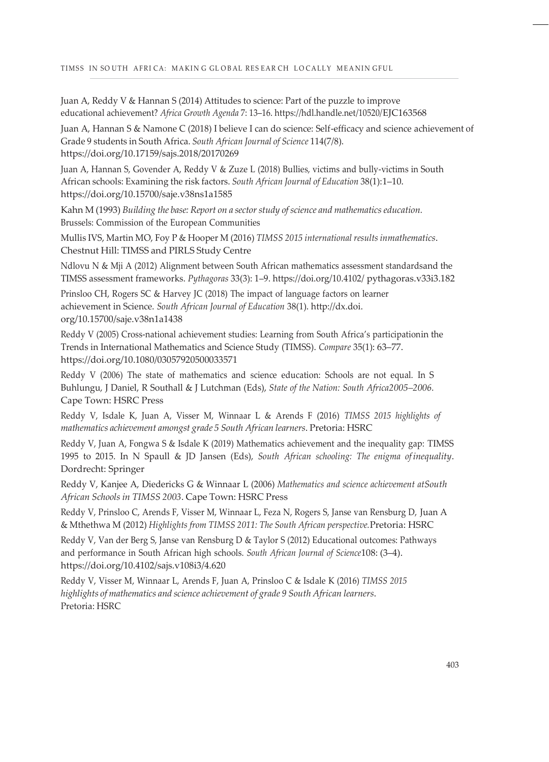Juan A, Reddy V & Hannan S (2014) Attitudes to science: Part of the puzzle to improve educational achievement? *Africa Growth Agenda* 7: 13–16. https://hdl.handle.net/10520/EJC163568

Juan A, Hannan S & Namone C (2018) I believe I can do science: Self-efficacy and science achievement of Grade 9 students in South Africa. *South African Journal of Science* 114(7/8). https://doi.org/10.17159/sajs.2018/20170269

Juan A, Hannan S, Govender A, Reddy V & Zuze L (2018) Bullies, victims and bully-victims in South African schools: Examining the risk factors. *South African Journal of Education* 38(1):1–10. https://doi.org/10.15700/saje.v38ns1a1585

Kahn M (1993) *Building the base: Report on a sector study of science and mathematics education.* Brussels: Commission of the European Communities

Mullis IVS, Martin MO, Foy P & Hooper M (2016) *TIMSS 2015 international results inmathematics*. Chestnut Hill: TIMSS and PIRLS Study Centre

Ndlovu N & Mji A (2012) Alignment between South African mathematics assessment standardsand the TIMSS assessment frameworks. *Pythagoras* 33(3): 1–9. https://doi.org/10.4102/ pythagoras.v33i3.182

Prinsloo CH, Rogers SC & Harvey JC (2018) The impact of language factors on learner achievement in Science. *South African Journal of Education* 38(1). [http://dx.doi.](http://dx.doi/) org/10.15700/saje.v38n1a1438

Reddy V (2005) Cross-national achievement studies: Learning from South Africa's participationin the Trends in International Mathematics and Science Study (TIMSS). *Compare* 35(1): 63–77. https://doi.org/10.1080/03057920500033571

Reddy V (2006) The state of mathematics and science education: Schools are not equal. In S Buhlungu, J Daniel, R Southall & J Lutchman (Eds), *State of the Nation: South Africa2005–2006.* Cape Town: HSRC Press

Reddy V, Isdale K, Juan A, Visser M, Winnaar L & Arends F (2016) *TIMSS 2015 highlights of mathematics achievement amongst grade 5 South African learners*. Pretoria: HSRC

Reddy V, Juan A, Fongwa S & Isdale K (2019) Mathematics achievement and the inequality gap: TIMSS 1995 to 2015. In N Spaull & JD Jansen (Eds), *South African schooling: The enigma of inequality*. Dordrecht: Springer

Reddy V, Kanjee A, Diedericks G & Winnaar L (2006) *Mathematics and science achievement atSouth African Schools in TIMSS 2003*. Cape Town: HSRC Press

Reddy V, Prinsloo C, Arends F, Visser M, Winnaar L, Feza N, Rogers S, Janse van Rensburg D, Juan A & Mthethwa M (2012) *Highlights from TIMSS 2011: The South African perspective.*Pretoria: HSRC

Reddy V, Van der Berg S, Janse van Rensburg D & Taylor S (2012) Educational outcomes: Pathways and performance in South African high schools. *South African Journal of Science*108: (3–4). https://doi.org/10.4102/sajs.v108i3/4.620

Reddy V, Visser M, Winnaar L, Arends F, Juan A, Prinsloo C & Isdale K (2016) *TIMSS 2015 highlights of mathematics and science achievement of grade 9 South African learners*. Pretoria: HSRC